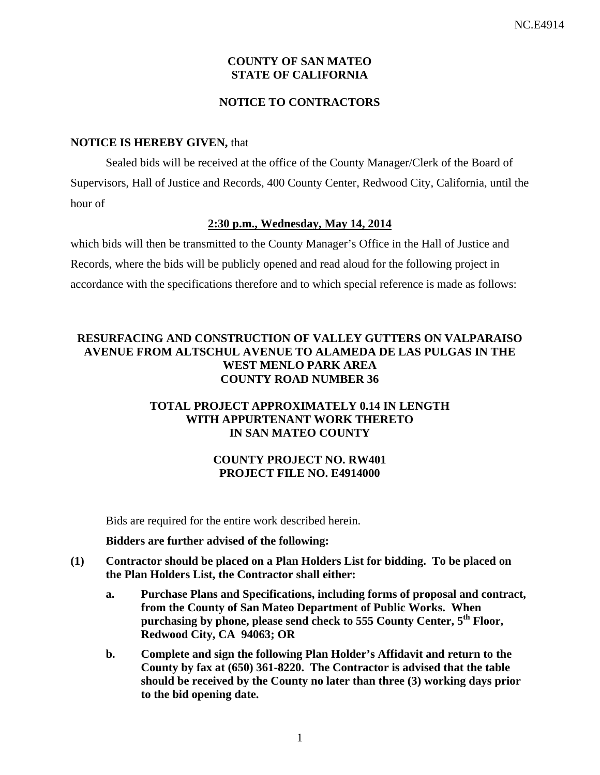## **COUNTY OF SAN MATEO STATE OF CALIFORNIA**

### **NOTICE TO CONTRACTORS**

### **NOTICE IS HEREBY GIVEN,** that

Sealed bids will be received at the office of the County Manager/Clerk of the Board of Supervisors, Hall of Justice and Records, 400 County Center, Redwood City, California, until the hour of

#### **2:30 p.m., Wednesday, May 14, 2014**

which bids will then be transmitted to the County Manager's Office in the Hall of Justice and Records, where the bids will be publicly opened and read aloud for the following project in accordance with the specifications therefore and to which special reference is made as follows:

### **RESURFACING AND CONSTRUCTION OF VALLEY GUTTERS ON VALPARAISO AVENUE FROM ALTSCHUL AVENUE TO ALAMEDA DE LAS PULGAS IN THE WEST MENLO PARK AREA COUNTY ROAD NUMBER 36**

## **TOTAL PROJECT APPROXIMATELY 0.14 IN LENGTH WITH APPURTENANT WORK THERETO IN SAN MATEO COUNTY**

## **COUNTY PROJECT NO. RW401 PROJECT FILE NO. E4914000**

Bids are required for the entire work described herein.

**Bidders are further advised of the following:** 

- **(1) Contractor should be placed on a Plan Holders List for bidding. To be placed on the Plan Holders List, the Contractor shall either:** 
	- **a. Purchase Plans and Specifications, including forms of proposal and contract, from the County of San Mateo Department of Public Works. When purchasing by phone, please send check to 555 County Center, 5th Floor, Redwood City, CA 94063; OR**
	- **b. Complete and sign the following Plan Holder's Affidavit and return to the County by fax at (650) 361-8220. The Contractor is advised that the table should be received by the County no later than three (3) working days prior to the bid opening date.**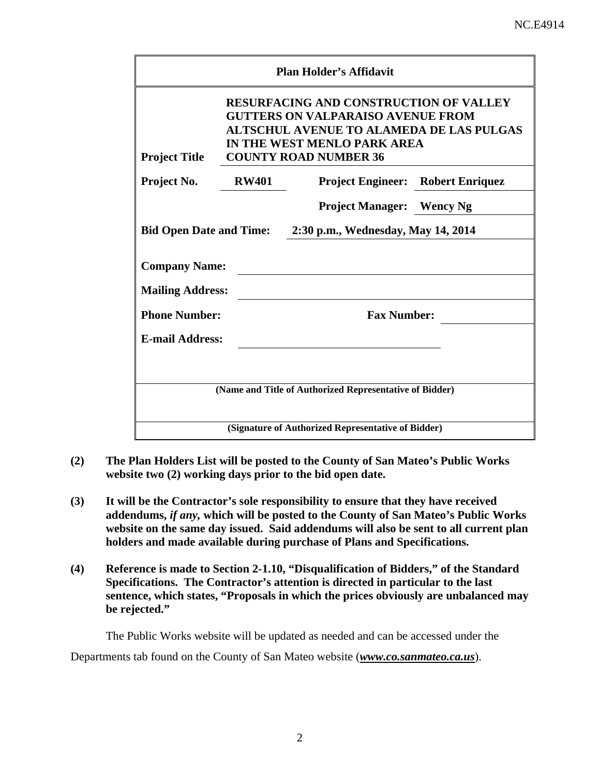| <b>Plan Holder's Affidavit</b>                                                                                                                                                                                                      |              |                                          |  |  |  |  |
|-------------------------------------------------------------------------------------------------------------------------------------------------------------------------------------------------------------------------------------|--------------|------------------------------------------|--|--|--|--|
| <b>RESURFACING AND CONSTRUCTION OF VALLEY</b><br><b>GUTTERS ON VALPARAISO AVENUE FROM</b><br><b>ALTSCHUL AVENUE TO ALAMEDA DE LAS PULGAS</b><br>IN THE WEST MENLO PARK AREA<br><b>COUNTY ROAD NUMBER 36</b><br><b>Project Title</b> |              |                                          |  |  |  |  |
| Project No.                                                                                                                                                                                                                         | <b>RW401</b> | <b>Project Engineer:</b> Robert Enriquez |  |  |  |  |
|                                                                                                                                                                                                                                     |              | <b>Project Manager:</b> Wency Ng         |  |  |  |  |
| Bid Open Date and Time: 2:30 p.m., Wednesday, May 14, 2014                                                                                                                                                                          |              |                                          |  |  |  |  |
| <b>Company Name:</b><br><b>Mailing Address:</b>                                                                                                                                                                                     |              |                                          |  |  |  |  |
| <b>Phone Number:</b><br><b>Fax Number:</b>                                                                                                                                                                                          |              |                                          |  |  |  |  |
| <b>E-mail Address:</b>                                                                                                                                                                                                              |              |                                          |  |  |  |  |
|                                                                                                                                                                                                                                     |              |                                          |  |  |  |  |
| (Name and Title of Authorized Representative of Bidder)                                                                                                                                                                             |              |                                          |  |  |  |  |
| (Signature of Authorized Representative of Bidder)                                                                                                                                                                                  |              |                                          |  |  |  |  |

- **(2) The Plan Holders List will be posted to the County of San Mateo's Public Works website two (2) working days prior to the bid open date.**
- **(3) It will be the Contractor's sole responsibility to ensure that they have received addendums,** *if any,* **which will be posted to the County of San Mateo's Public Works website on the same day issued. Said addendums will also be sent to all current plan holders and made available during purchase of Plans and Specifications.**
- **(4) Reference is made to Section 2-1.10, "Disqualification of Bidders," of the Standard Specifications. The Contractor's attention is directed in particular to the last sentence, which states, "Proposals in which the prices obviously are unbalanced may be rejected."**

The Public Works website will be updated as needed and can be accessed under the

Departments tab found on the County of San Mateo website (*www.co.sanmateo.ca.us*).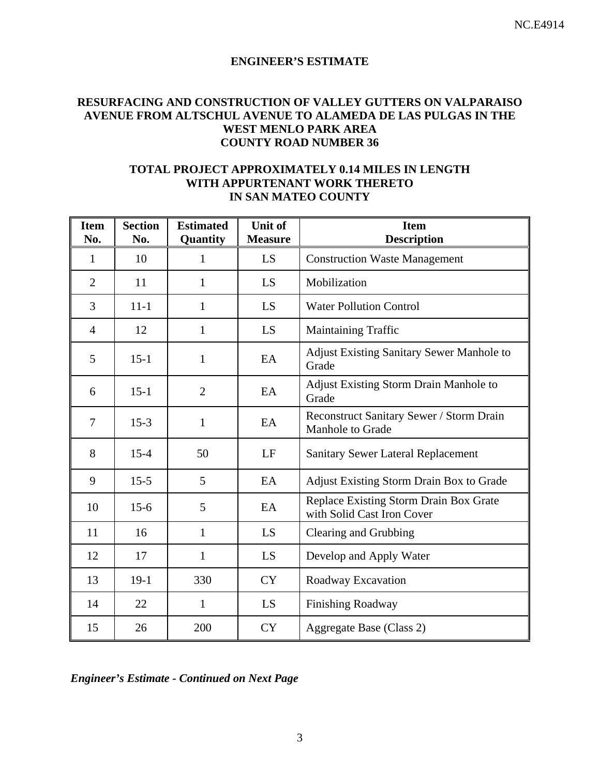#### **ENGINEER'S ESTIMATE**

### **RESURFACING AND CONSTRUCTION OF VALLEY GUTTERS ON VALPARAISO AVENUE FROM ALTSCHUL AVENUE TO ALAMEDA DE LAS PULGAS IN THE WEST MENLO PARK AREA COUNTY ROAD NUMBER 36**

### **TOTAL PROJECT APPROXIMATELY 0.14 MILES IN LENGTH WITH APPURTENANT WORK THERETO IN SAN MATEO COUNTY**

| <b>Item</b><br>No. | <b>Section</b><br>No. | <b>Estimated</b><br>Quantity | <b>Unit of</b><br><b>Measure</b> | <b>Item</b><br><b>Description</b>                                    |
|--------------------|-----------------------|------------------------------|----------------------------------|----------------------------------------------------------------------|
| 1                  | 10                    | 1                            | LS                               | <b>Construction Waste Management</b>                                 |
| $\overline{2}$     | 11                    | 1                            | LS                               | Mobilization                                                         |
| 3                  | $11 - 1$              | 1                            | LS                               | <b>Water Pollution Control</b>                                       |
| $\overline{4}$     | 12                    | $\mathbf{1}$                 | LS                               | <b>Maintaining Traffic</b>                                           |
| 5                  | $15 - 1$              | $\mathbf{1}$                 | EA                               | <b>Adjust Existing Sanitary Sewer Manhole to</b><br>Grade            |
| 6                  | $15 - 1$              | $\overline{2}$               | EA                               | <b>Adjust Existing Storm Drain Manhole to</b><br>Grade               |
| $\overline{7}$     | $15-3$                | 1                            | EA                               | Reconstruct Sanitary Sewer / Storm Drain<br>Manhole to Grade         |
| 8                  | $15 - 4$              | 50                           | LF                               | <b>Sanitary Sewer Lateral Replacement</b>                            |
| 9                  | $15 - 5$              | 5                            | EA                               | <b>Adjust Existing Storm Drain Box to Grade</b>                      |
| 10                 | $15-6$                | 5                            | EA                               | Replace Existing Storm Drain Box Grate<br>with Solid Cast Iron Cover |
| 11                 | 16                    | 1                            | LS                               | Clearing and Grubbing                                                |
| 12                 | 17                    | $\mathbf{1}$                 | LS                               | Develop and Apply Water                                              |
| 13                 | $19-1$                | 330                          | <b>CY</b>                        | Roadway Excavation                                                   |
| 14                 | 22                    | $\mathbf{1}$                 | LS                               | <b>Finishing Roadway</b>                                             |
| 15                 | 26                    | 200                          | <b>CY</b>                        | Aggregate Base (Class 2)                                             |

*Engineer's Estimate - Continued on Next Page*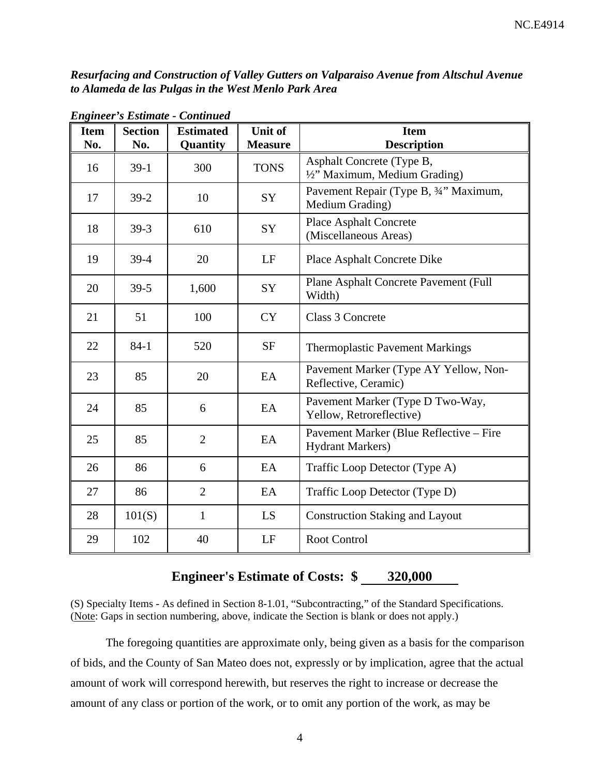*Resurfacing and Construction of Valley Gutters on Valparaiso Avenue from Altschul Avenue to Alameda de las Pulgas in the West Menlo Park Area* 

| <b>Item</b><br>No. | <b>Section</b><br>No. | <b>Estimated</b><br>Quantity | <b>Unit of</b><br><b>Measure</b> | <b>Item</b><br><b>Description</b>                                  |
|--------------------|-----------------------|------------------------------|----------------------------------|--------------------------------------------------------------------|
| 16                 | $39-1$                | 300                          | <b>TONS</b>                      | Asphalt Concrete (Type B,<br>1/2" Maximum, Medium Grading)         |
| 17                 | $39 - 2$              | 10                           | SY                               | Pavement Repair (Type B, 3/4" Maximum,<br>Medium Grading)          |
| 18                 | $39-3$                | 610                          | SY                               | <b>Place Asphalt Concrete</b><br>(Miscellaneous Areas)             |
| 19                 | $39-4$                | 20                           | LF                               | Place Asphalt Concrete Dike                                        |
| 20                 | $39-5$                | 1,600                        | SY                               | Plane Asphalt Concrete Pavement (Full<br>Width)                    |
| 21                 | 51                    | 100                          | <b>CY</b>                        | Class 3 Concrete                                                   |
| 22                 | $84 - 1$              | 520                          | <b>SF</b>                        | <b>Thermoplastic Pavement Markings</b>                             |
| 23                 | 85                    | 20                           | EA                               | Pavement Marker (Type AY Yellow, Non-<br>Reflective, Ceramic)      |
| 24                 | 85                    | 6                            | EA                               | Pavement Marker (Type D Two-Way,<br>Yellow, Retroreflective)       |
| 25                 | 85                    | $\overline{2}$               | EA                               | Pavement Marker (Blue Reflective - Fire<br><b>Hydrant Markers)</b> |
| 26                 | 86                    | 6                            | EA                               | Traffic Loop Detector (Type A)                                     |
| 27                 | 86                    | $\overline{2}$               | EA                               | Traffic Loop Detector (Type D)                                     |
| 28                 | 101(S)                | $\mathbf{1}$                 | LS                               | <b>Construction Staking and Layout</b>                             |
| 29                 | 102                   | 40                           | LF                               | <b>Root Control</b>                                                |

*Engineer's Estimate - Continued* 

# **Engineer's Estimate of Costs: \$ 320,000**

(S) Specialty Items - As defined in Section 8-1.01, "Subcontracting," of the Standard Specifications. (Note: Gaps in section numbering, above, indicate the Section is blank or does not apply.)

The foregoing quantities are approximate only, being given as a basis for the comparison of bids, and the County of San Mateo does not, expressly or by implication, agree that the actual amount of work will correspond herewith, but reserves the right to increase or decrease the amount of any class or portion of the work, or to omit any portion of the work, as may be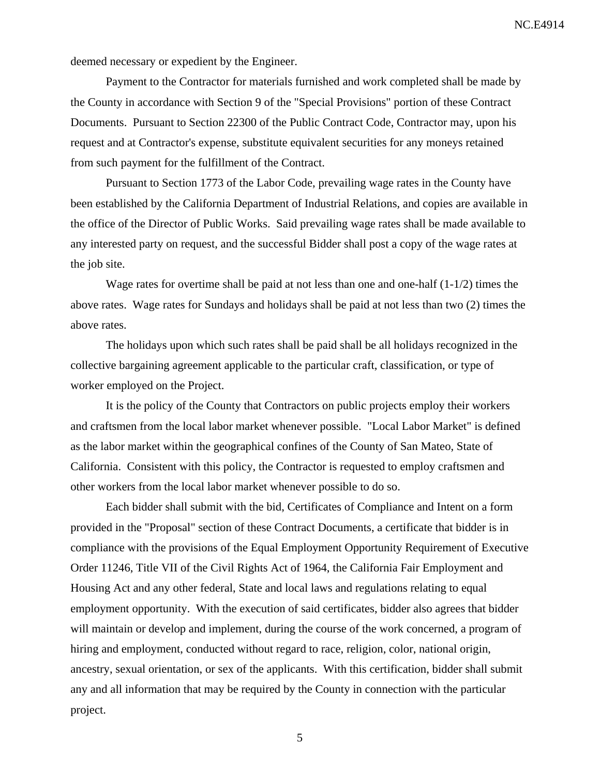deemed necessary or expedient by the Engineer.

Payment to the Contractor for materials furnished and work completed shall be made by the County in accordance with Section 9 of the "Special Provisions" portion of these Contract Documents. Pursuant to Section 22300 of the Public Contract Code, Contractor may, upon his request and at Contractor's expense, substitute equivalent securities for any moneys retained from such payment for the fulfillment of the Contract.

Pursuant to Section 1773 of the Labor Code, prevailing wage rates in the County have been established by the California Department of Industrial Relations, and copies are available in the office of the Director of Public Works. Said prevailing wage rates shall be made available to any interested party on request, and the successful Bidder shall post a copy of the wage rates at the job site.

Wage rates for overtime shall be paid at not less than one and one-half (1-1/2) times the above rates. Wage rates for Sundays and holidays shall be paid at not less than two (2) times the above rates.

The holidays upon which such rates shall be paid shall be all holidays recognized in the collective bargaining agreement applicable to the particular craft, classification, or type of worker employed on the Project.

It is the policy of the County that Contractors on public projects employ their workers and craftsmen from the local labor market whenever possible. "Local Labor Market" is defined as the labor market within the geographical confines of the County of San Mateo, State of California. Consistent with this policy, the Contractor is requested to employ craftsmen and other workers from the local labor market whenever possible to do so.

Each bidder shall submit with the bid, Certificates of Compliance and Intent on a form provided in the "Proposal" section of these Contract Documents, a certificate that bidder is in compliance with the provisions of the Equal Employment Opportunity Requirement of Executive Order 11246, Title VII of the Civil Rights Act of 1964, the California Fair Employment and Housing Act and any other federal, State and local laws and regulations relating to equal employment opportunity. With the execution of said certificates, bidder also agrees that bidder will maintain or develop and implement, during the course of the work concerned, a program of hiring and employment, conducted without regard to race, religion, color, national origin, ancestry, sexual orientation, or sex of the applicants. With this certification, bidder shall submit any and all information that may be required by the County in connection with the particular project.

5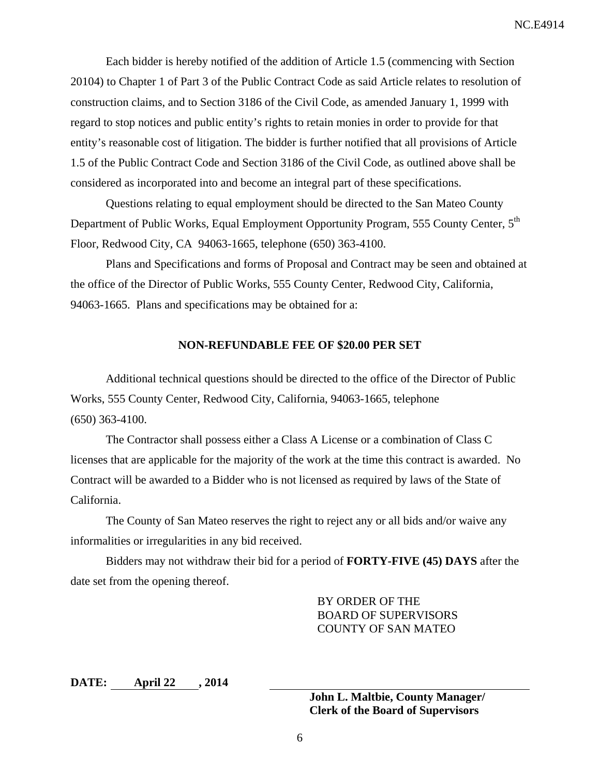Each bidder is hereby notified of the addition of Article 1.5 (commencing with Section 20104) to Chapter 1 of Part 3 of the Public Contract Code as said Article relates to resolution of construction claims, and to Section 3186 of the Civil Code, as amended January 1, 1999 with regard to stop notices and public entity's rights to retain monies in order to provide for that entity's reasonable cost of litigation. The bidder is further notified that all provisions of Article 1.5 of the Public Contract Code and Section 3186 of the Civil Code, as outlined above shall be considered as incorporated into and become an integral part of these specifications.

Questions relating to equal employment should be directed to the San Mateo County Department of Public Works, Equal Employment Opportunity Program, 555 County Center, 5<sup>th</sup> Floor, Redwood City, CA 94063-1665, telephone (650) 363-4100.

Plans and Specifications and forms of Proposal and Contract may be seen and obtained at the office of the Director of Public Works, 555 County Center, Redwood City, California, 94063-1665. Plans and specifications may be obtained for a:

#### **NON-REFUNDABLE FEE OF \$20.00 PER SET**

Additional technical questions should be directed to the office of the Director of Public Works, 555 County Center, Redwood City, California, 94063-1665, telephone (650) 363-4100.

The Contractor shall possess either a Class A License or a combination of Class C licenses that are applicable for the majority of the work at the time this contract is awarded. No Contract will be awarded to a Bidder who is not licensed as required by laws of the State of California.

The County of San Mateo reserves the right to reject any or all bids and/or waive any informalities or irregularities in any bid received.

Bidders may not withdraw their bid for a period of **FORTY-FIVE (45) DAYS** after the date set from the opening thereof.

> BY ORDER OF THE BOARD OF SUPERVISORS COUNTY OF SAN MATEO

**DATE: April 22 , 2014** 

**John L. Maltbie, County Manager/ Clerk of the Board of Supervisors** 

6